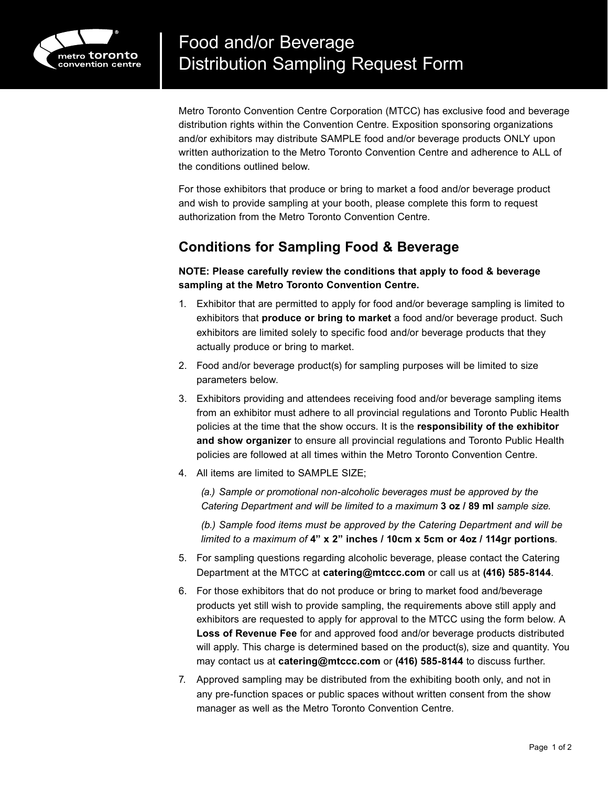

Metro Toronto Convention Centre Corporation (MTCC) has exclusive food and beverage distribution rights within the Convention Centre. Exposition sponsoring organizations and/or exhibitors may distribute SAMPLE food and/or beverage products ONLY upon written authorization to the Metro Toronto Convention Centre and adherence to ALL of the conditions outlined below.

For those exhibitors that produce or bring to market a food and/or beverage product and wish to provide sampling at your booth, please complete this form to request authorization from the Metro Toronto Convention Centre.

## **Conditions for Sampling Food & Beverage**

**NOTE: Please carefully review the conditions that apply to food & beverage sampling at the Metro Toronto Convention Centre.**

- 1. Exhibitor that are permitted to apply for food and/or beverage sampling is limited to exhibitors that **produce or bring to market** a food and/or beverage product. Such exhibitors are limited solely to specific food and/or beverage products that they actually produce or bring to market.
- 2. Food and/or beverage product(s) for sampling purposes will be limited to size parameters below.
- 3. Exhibitors providing and attendees receiving food and/or beverage sampling items from an exhibitor must adhere to all provincial regulations and Toronto Public Health policies at the time that the show occurs. It is the **responsibility of the exhibitor and show organizer** to ensure all provincial regulations and Toronto Public Health policies are followed at all times within the Metro Toronto Convention Centre.
- 4. All items are limited to SAMPLE SIZE;

*(a.) Sample or promotional non-alcoholic beverages must be approved by the Catering Department and will be limited to a maximum* **3 oz / 89 ml** *sample size.*

*(b.) Sample food items must be approved by the Catering Department and will be limited to a maximum of* **4" x 2" inches / 10cm x 5cm or 4oz / 114gr portions***.*

- 5. For sampling questions regarding alcoholic beverage, please contact the Catering Department at the MTCC at **catering@mtccc.com** or call us at **(416) 585‑8144**.
- 6. For those exhibitors that do not produce or bring to market food and/beverage products yet still wish to provide sampling, the requirements above still apply and exhibitors are requested to apply for approval to the MTCC using the form below. A **Loss of Revenue Fee** for and approved food and/or beverage products distributed will apply. This charge is determined based on the product(s), size and quantity. You may contact us at **catering@mtccc.com** or **(416) 585‑8144** to discuss further.
- 7. Approved sampling may be distributed from the exhibiting booth only, and not in any pre-function spaces or public spaces without written consent from the show manager as well as the Metro Toronto Convention Centre.